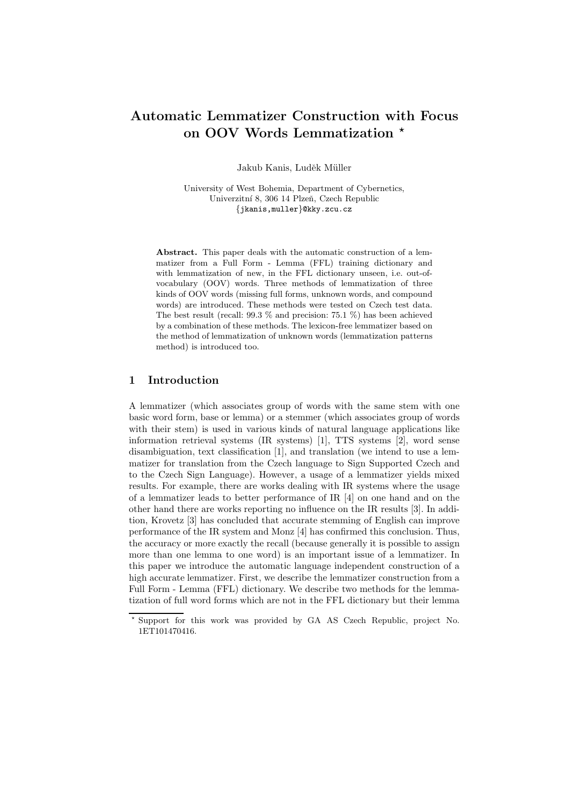# Automatic Lemmatizer Construction with Focus on OOV Words Lemmatization  $*$

Jakub Kanis, Luděk Müller

University of West Bohemia, Department of Cybernetics, Univerzitní 8, 306 14 Plzeň, Czech Republic {jkanis,muller}@kky.zcu.cz

Abstract. This paper deals with the automatic construction of a lemmatizer from a Full Form - Lemma (FFL) training dictionary and with lemmatization of new, in the FFL dictionary unseen, i.e. out-ofvocabulary (OOV) words. Three methods of lemmatization of three kinds of OOV words (missing full forms, unknown words, and compound words) are introduced. These methods were tested on Czech test data. The best result (recall: 99.3 % and precision: 75.1 %) has been achieved by a combination of these methods. The lexicon-free lemmatizer based on the method of lemmatization of unknown words (lemmatization patterns method) is introduced too.

### 1 Introduction

A lemmatizer (which associates group of words with the same stem with one basic word form, base or lemma) or a stemmer (which associates group of words with their stem) is used in various kinds of natural language applications like information retrieval systems (IR systems) [1], TTS systems [2], word sense disambiguation, text classification [1], and translation (we intend to use a lemmatizer for translation from the Czech language to Sign Supported Czech and to the Czech Sign Language). However, a usage of a lemmatizer yields mixed results. For example, there are works dealing with IR systems where the usage of a lemmatizer leads to better performance of IR [4] on one hand and on the other hand there are works reporting no influence on the IR results [3]. In addition, Krovetz [3] has concluded that accurate stemming of English can improve performance of the IR system and Monz [4] has confirmed this conclusion. Thus, the accuracy or more exactly the recall (because generally it is possible to assign more than one lemma to one word) is an important issue of a lemmatizer. In this paper we introduce the automatic language independent construction of a high accurate lemmatizer. First, we describe the lemmatizer construction from a Full Form - Lemma (FFL) dictionary. We describe two methods for the lemmatization of full word forms which are not in the FFL dictionary but their lemma

<sup>⋆</sup> Support for this work was provided by GA AS Czech Republic, project No. 1ET101470416.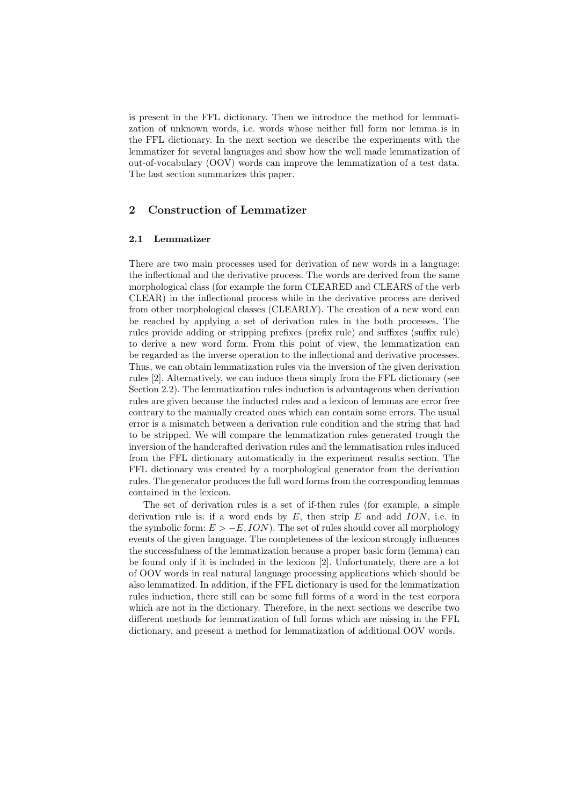is present in the FFL dictionary. Then we introduce the method for lemmatization of unknown words, i.e. words whose neither full form nor lemma is in the FFL dictionary. In the next section we describe the experiments with the lemmatizer for several languages and show how the well made lemmatization of out-of-vocabulary (OOV) words can improve the lemmatization of a test data. The last section summarizes this paper.

# 2 Construction of Lemmatizer

#### 2.1 Lemmatizer

There are two main processes used for derivation of new words in a language: the inflectional and the derivative process. The words are derived from the same morphological class (for example the form CLEARED and CLEARS of the verb CLEAR) in the inflectional process while in the derivative process are derived from other morphological classes (CLEARLY). The creation of a new word can be reached by applying a set of derivation rules in the both processes. The rules provide adding or stripping prefixes (prefix rule) and suffixes (suffix rule) to derive a new word form. From this point of view, the lemmatization can be regarded as the inverse operation to the inflectional and derivative processes. Thus, we can obtain lemmatization rules via the inversion of the given derivation rules [2]. Alternatively, we can induce them simply from the FFL dictionary (see Section 2.2). The lemmatization rules induction is advantageous when derivation rules are given because the inducted rules and a lexicon of lemmas are error free contrary to the manually created ones which can contain some errors. The usual error is a mismatch between a derivation rule condition and the string that had to be stripped. We will compare the lemmatization rules generated trough the inversion of the handcrafted derivation rules and the lemmatisation rules induced from the FFL dictionary automatically in the experiment results section. The FFL dictionary was created by a morphological generator from the derivation rules. The generator produces the full word forms from the corresponding lemmas contained in the lexicon.

The set of derivation rules is a set of if-then rules (for example, a simple derivation rule is: if a word ends by  $E$ , then strip  $E$  and add  $ION$ , i.e. in the symbolic form:  $E > -E$ , *ION*). The set of rules should cover all morphology events of the given language. The completeness of the lexicon strongly influences the successfulness of the lemmatization because a proper basic form (lemma) can be found only if it is included in the lexicon [2]. Unfortunately, there are a lot of OOV words in real natural language processing applications which should be also lemmatized. In addition, if the FFL dictionary is used for the lemmatization rules induction, there still can be some full forms of a word in the test corpora which are not in the dictionary. Therefore, in the next sections we describe two different methods for lemmatization of full forms which are missing in the FFL dictionary, and present a method for lemmatization of additional OOV words.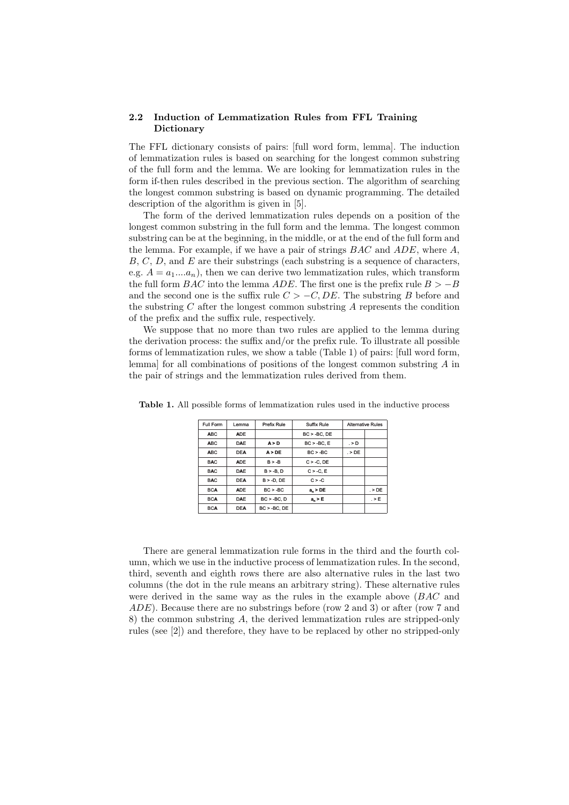#### 2.2 Induction of Lemmatization Rules from FFL Training Dictionary

The FFL dictionary consists of pairs: [full word form, lemma]. The induction of lemmatization rules is based on searching for the longest common substring of the full form and the lemma. We are looking for lemmatization rules in the form if-then rules described in the previous section. The algorithm of searching the longest common substring is based on dynamic programming. The detailed description of the algorithm is given in [5].

The form of the derived lemmatization rules depends on a position of the longest common substring in the full form and the lemma. The longest common substring can be at the beginning, in the middle, or at the end of the full form and the lemma. For example, if we have a pair of strings  $BAC$  and  $ADE$ , where  $A$ ,  $B, C, D$ , and  $E$  are their substrings (each substring is a sequence of characters, e.g.  $A = a_1...a_n$ , then we can derive two lemmatization rules, which transform the full form  $BAC$  into the lemma  $ADE$ . The first one is the prefix rule  $B > -B$ and the second one is the suffix rule  $C > -C$ , DE. The substring B before and the substring  $C$  after the longest common substring  $A$  represents the condition of the prefix and the suffix rule, respectively.

We suppose that no more than two rules are applied to the lemma during the derivation process: the suffix and/or the prefix rule. To illustrate all possible forms of lemmatization rules, we show a table (Table 1) of pairs: [full word form, lemma] for all combinations of positions of the longest common substring A in the pair of strings and the lemmatization rules derived from them.

| Full Form                | Lemma      | Prefix Rule       | Suffix Rule       | <b>Alternative Rules</b> |        |  |
|--------------------------|------------|-------------------|-------------------|--------------------------|--------|--|
| <b>ABC</b>               | <b>ADE</b> |                   | $BC > -BC$ , $DE$ |                          |        |  |
| <b>ABC</b>               | <b>DAE</b> | A > D             | $BC > -BC$ . $E$  | . > D                    |        |  |
| <b>ABC</b>               | <b>DEA</b> | A > DE            | $BC > -BC$        | . > DE                   |        |  |
| <b>BAC</b>               | <b>ADE</b> | $B > -B$          | $C > -C$ , $DE$   |                          |        |  |
| <b>BAC</b>               | DAE        | $B > -B$ , $D$    | $C > -C$ . E      |                          |        |  |
| <b>BAC</b>               | <b>DEA</b> | $B > -D$ , $DE$   | $C > -C$          |                          |        |  |
| <b>BCA</b>               | <b>ADE</b> | $BC > -BC$        | $a_n > DE$        |                          | . > DE |  |
| <b>BCA</b><br><b>DAE</b> |            | $BC > -BC$ . $D$  | $a_n$ > E         |                          | . > E  |  |
| <b>BCA</b>               | <b>DEA</b> | $BC > -BC$ . $DE$ |                   |                          |        |  |

Table 1. All possible forms of lemmatization rules used in the inductive process

There are general lemmatization rule forms in the third and the fourth column, which we use in the inductive process of lemmatization rules. In the second, third, seventh and eighth rows there are also alternative rules in the last two columns (the dot in the rule means an arbitrary string). These alternative rules were derived in the same way as the rules in the example above (BAC and ADE). Because there are no substrings before (row 2 and 3) or after (row 7 and 8) the common substring A, the derived lemmatization rules are stripped-only rules (see [2]) and therefore, they have to be replaced by other no stripped-only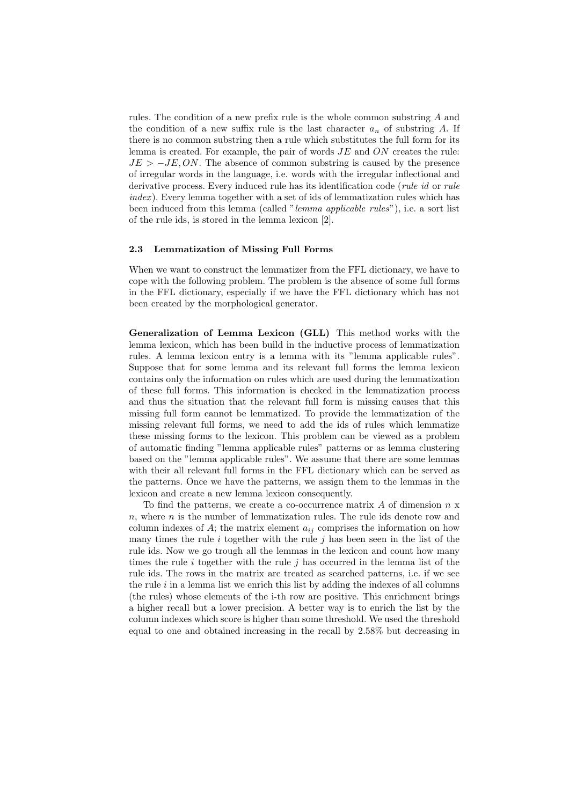rules. The condition of a new prefix rule is the whole common substring A and the condition of a new suffix rule is the last character  $a_n$  of substring A. If there is no common substring then a rule which substitutes the full form for its lemma is created. For example, the pair of words  $JE$  and  $ON$  creates the rule:  $JE > -JE$ , ON. The absence of common substring is caused by the presence of irregular words in the language, i.e. words with the irregular inflectional and derivative process. Every induced rule has its identification code (rule id or rule  $index$ ). Every lemma together with a set of ids of lemmatization rules which has been induced from this lemma (called "lemma applicable rules"), i.e. a sort list of the rule ids, is stored in the lemma lexicon [2].

#### 2.3 Lemmatization of Missing Full Forms

When we want to construct the lemmatizer from the FFL dictionary, we have to cope with the following problem. The problem is the absence of some full forms in the FFL dictionary, especially if we have the FFL dictionary which has not been created by the morphological generator.

Generalization of Lemma Lexicon (GLL) This method works with the lemma lexicon, which has been build in the inductive process of lemmatization rules. A lemma lexicon entry is a lemma with its "lemma applicable rules". Suppose that for some lemma and its relevant full forms the lemma lexicon contains only the information on rules which are used during the lemmatization of these full forms. This information is checked in the lemmatization process and thus the situation that the relevant full form is missing causes that this missing full form cannot be lemmatized. To provide the lemmatization of the missing relevant full forms, we need to add the ids of rules which lemmatize these missing forms to the lexicon. This problem can be viewed as a problem of automatic finding "lemma applicable rules" patterns or as lemma clustering based on the "lemma applicable rules". We assume that there are some lemmas with their all relevant full forms in the FFL dictionary which can be served as the patterns. Once we have the patterns, we assign them to the lemmas in the lexicon and create a new lemma lexicon consequently.

To find the patterns, we create a co-occurrence matrix  $A$  of dimension  $n \times$  $n$ , where  $n$  is the number of lemmatization rules. The rule ids denote row and column indexes of A; the matrix element  $a_{ij}$  comprises the information on how many times the rule  $i$  together with the rule  $j$  has been seen in the list of the rule ids. Now we go trough all the lemmas in the lexicon and count how many times the rule  $i$  together with the rule  $j$  has occurred in the lemma list of the rule ids. The rows in the matrix are treated as searched patterns, i.e. if we see the rule  $i$  in a lemma list we enrich this list by adding the indexes of all columns (the rules) whose elements of the i-th row are positive. This enrichment brings a higher recall but a lower precision. A better way is to enrich the list by the column indexes which score is higher than some threshold. We used the threshold equal to one and obtained increasing in the recall by 2.58% but decreasing in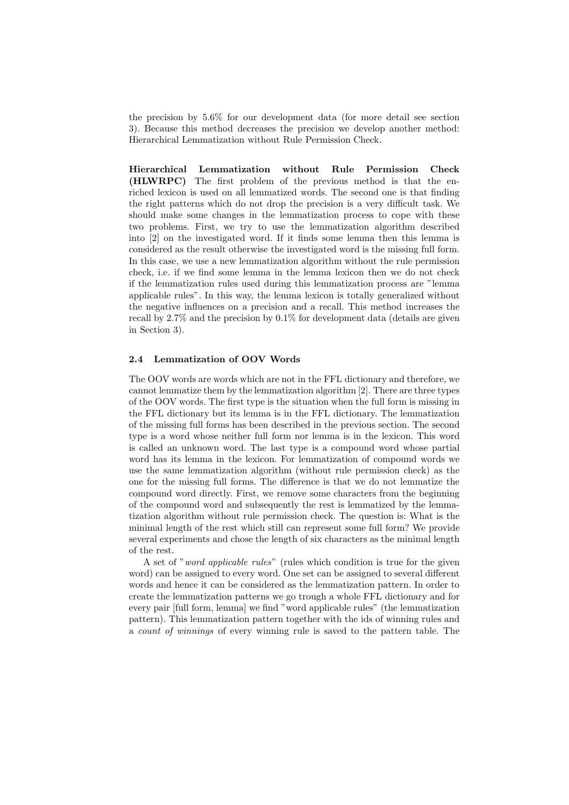the precision by 5.6% for our development data (for more detail see section 3). Because this method decreases the precision we develop another method: Hierarchical Lemmatization without Rule Permission Check.

Hierarchical Lemmatization without Rule Permission Check (HLWRPC) The first problem of the previous method is that the enriched lexicon is used on all lemmatized words. The second one is that finding the right patterns which do not drop the precision is a very difficult task. We should make some changes in the lemmatization process to cope with these two problems. First, we try to use the lemmatization algorithm described into [2] on the investigated word. If it finds some lemma then this lemma is considered as the result otherwise the investigated word is the missing full form. In this case, we use a new lemmatization algorithm without the rule permission check, i.e. if we find some lemma in the lemma lexicon then we do not check if the lemmatization rules used during this lemmatization process are "lemma applicable rules". In this way, the lemma lexicon is totally generalized without the negative influences on a precision and a recall. This method increases the recall by 2.7% and the precision by 0.1% for development data (details are given in Section 3).

#### 2.4 Lemmatization of OOV Words

The OOV words are words which are not in the FFL dictionary and therefore, we cannot lemmatize them by the lemmatization algorithm [2]. There are three types of the OOV words. The first type is the situation when the full form is missing in the FFL dictionary but its lemma is in the FFL dictionary. The lemmatization of the missing full forms has been described in the previous section. The second type is a word whose neither full form nor lemma is in the lexicon. This word is called an unknown word. The last type is a compound word whose partial word has its lemma in the lexicon. For lemmatization of compound words we use the same lemmatization algorithm (without rule permission check) as the one for the missing full forms. The difference is that we do not lemmatize the compound word directly. First, we remove some characters from the beginning of the compound word and subsequently the rest is lemmatized by the lemmatization algorithm without rule permission check. The question is: What is the minimal length of the rest which still can represent some full form? We provide several experiments and chose the length of six characters as the minimal length of the rest.

A set of "word applicable rules" (rules which condition is true for the given word) can be assigned to every word. One set can be assigned to several different words and hence it can be considered as the lemmatization pattern. In order to create the lemmatization patterns we go trough a whole FFL dictionary and for every pair [full form, lemma] we find "word applicable rules" (the lemmatization pattern). This lemmatization pattern together with the ids of winning rules and a count of winnings of every winning rule is saved to the pattern table. The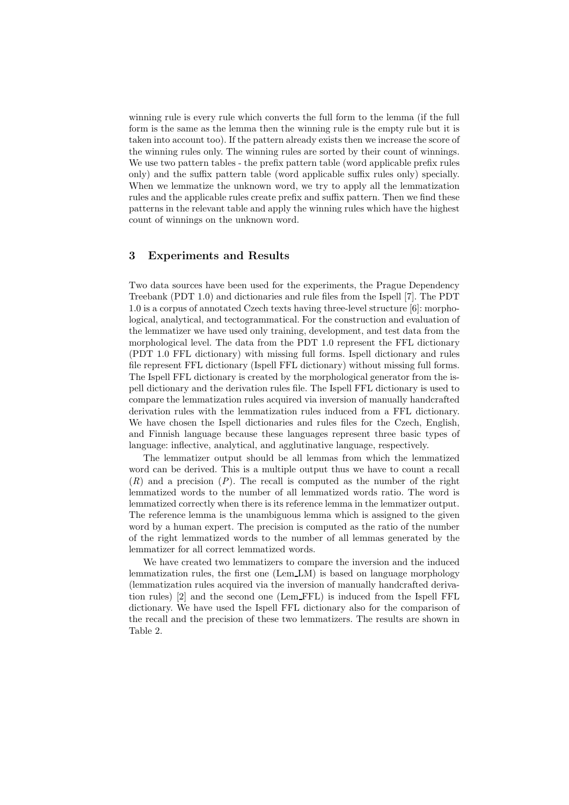winning rule is every rule which converts the full form to the lemma (if the full form is the same as the lemma then the winning rule is the empty rule but it is taken into account too). If the pattern already exists then we increase the score of the winning rules only. The winning rules are sorted by their count of winnings. We use two pattern tables - the prefix pattern table (word applicable prefix rules only) and the suffix pattern table (word applicable suffix rules only) specially. When we lemmatize the unknown word, we try to apply all the lemmatization rules and the applicable rules create prefix and suffix pattern. Then we find these patterns in the relevant table and apply the winning rules which have the highest count of winnings on the unknown word.

### 3 Experiments and Results

Two data sources have been used for the experiments, the Prague Dependency Treebank (PDT 1.0) and dictionaries and rule files from the Ispell [7]. The PDT 1.0 is a corpus of annotated Czech texts having three-level structure [6]: morphological, analytical, and tectogrammatical. For the construction and evaluation of the lemmatizer we have used only training, development, and test data from the morphological level. The data from the PDT 1.0 represent the FFL dictionary (PDT 1.0 FFL dictionary) with missing full forms. Ispell dictionary and rules file represent FFL dictionary (Ispell FFL dictionary) without missing full forms. The Ispell FFL dictionary is created by the morphological generator from the ispell dictionary and the derivation rules file. The Ispell FFL dictionary is used to compare the lemmatization rules acquired via inversion of manually handcrafted derivation rules with the lemmatization rules induced from a FFL dictionary. We have chosen the Ispell dictionaries and rules files for the Czech, English, and Finnish language because these languages represent three basic types of language: inflective, analytical, and agglutinative language, respectively.

The lemmatizer output should be all lemmas from which the lemmatized word can be derived. This is a multiple output thus we have to count a recall  $(R)$  and a precision  $(P)$ . The recall is computed as the number of the right lemmatized words to the number of all lemmatized words ratio. The word is lemmatized correctly when there is its reference lemma in the lemmatizer output. The reference lemma is the unambiguous lemma which is assigned to the given word by a human expert. The precision is computed as the ratio of the number of the right lemmatized words to the number of all lemmas generated by the lemmatizer for all correct lemmatized words.

We have created two lemmatizers to compare the inversion and the induced lemmatization rules, the first one (Lem LM) is based on language morphology (lemmatization rules acquired via the inversion of manually handcrafted derivation rules) [2] and the second one (Lem FFL) is induced from the Ispell FFL dictionary. We have used the Ispell FFL dictionary also for the comparison of the recall and the precision of these two lemmatizers. The results are shown in Table 2.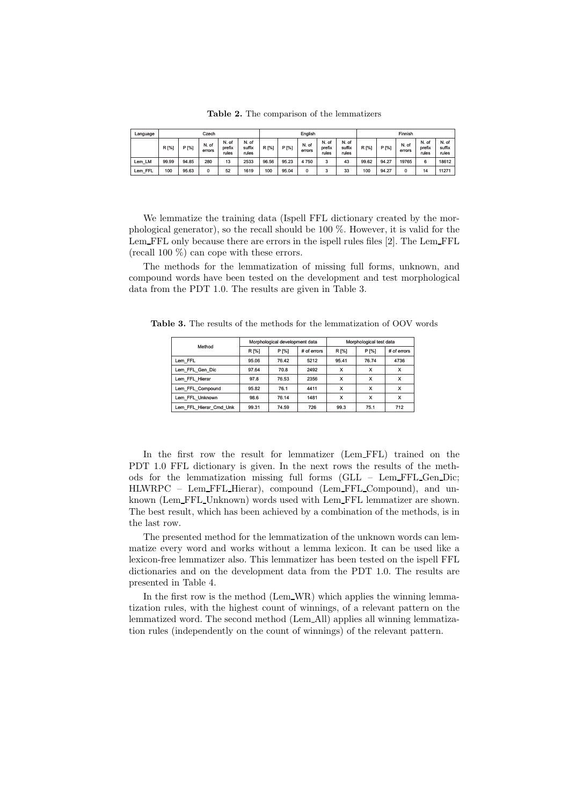Table 2. The comparison of the lemmatizers

| Language | Czech |       |                 |                          | English                  |       |       |                 | Finnish                  |                          |       |       |                 |                          |                          |
|----------|-------|-------|-----------------|--------------------------|--------------------------|-------|-------|-----------------|--------------------------|--------------------------|-------|-------|-----------------|--------------------------|--------------------------|
|          | R [%] | P [%] | N. of<br>errors | N. of<br>prefix<br>rules | N. of<br>suffix<br>rules | R [%] | P [%] | N. of<br>errors | N. of<br>prefix<br>rules | N. of<br>suffix<br>rules | R [%] | P [%] | N. of<br>errors | N. of<br>prefix<br>rules | N. of<br>suffix<br>rules |
| Lem_LM   | 99.99 | 94.85 | 280             | 13                       | 2533                     | 96.56 | 95.23 | 4750            |                          | 43                       | 99.62 | 94.27 | 19765           | 6                        | 18612                    |
| Lem FFL  | 100   | 95.63 | ٥               | 52                       | 1619                     | 100   | 95.04 |                 |                          | 33                       | 100   | 94.27 | ٥               | 14                       | 11271                    |

We lemmatize the training data (Ispell FFL dictionary created by the morphological generator), so the recall should be 100 %. However, it is valid for the Lem FFL only because there are errors in the ispell rules files [2]. The Lem FFL (recall 100 %) can cope with these errors.

The methods for the lemmatization of missing full forms, unknown, and compound words have been tested on the development and test morphological data from the PDT 1.0. The results are given in Table 3.

Table 3. The results of the methods for the lemmatization of OOV words

| Method                 |       | Morphological development data |             | Morphological test data |              |             |  |
|------------------------|-------|--------------------------------|-------------|-------------------------|--------------|-------------|--|
|                        | R [%] | P [%]                          | # of errors | R [%]                   | <b>P</b> [%] | # of errors |  |
| Lem FFL                | 95.06 | 76.42                          | 5212        | 95.41                   | 76.74        | 4736        |  |
| Lem FFL Gen Dic        | 97.64 | 70.8                           | 2492        | x                       | x            | x           |  |
| Lem FFL Hierar         | 97.8  | 76.53                          | 2356        | x                       | x            | x           |  |
| Lem FFL Compound       | 95.82 | 76.1                           | 4411        | x                       | x            | x           |  |
| Lem FFL Unknown        | 98.6  | 76.14                          | 1481        | x                       | x            | x           |  |
| Lem FFL Hierar Cmd Unk | 99.31 | 74.59                          | 726         | 99.3                    | 75.1         | 712         |  |

In the first row the result for lemmatizer (Lem FFL) trained on the PDT 1.0 FFL dictionary is given. In the next rows the results of the methods for the lemmatization missing full forms  $(GLL - Lem.FFL_Gen_Dic;$ HLWRPC – Lem FFL Hierar), compound (Lem FFL Compound), and unknown (Lem FFL Unknown) words used with Lem FFL lemmatizer are shown. The best result, which has been achieved by a combination of the methods, is in the last row.

The presented method for the lemmatization of the unknown words can lemmatize every word and works without a lemma lexicon. It can be used like a lexicon-free lemmatizer also. This lemmatizer has been tested on the ispell FFL dictionaries and on the development data from the PDT 1.0. The results are presented in Table 4.

In the first row is the method (Lem WR) which applies the winning lemmatization rules, with the highest count of winnings, of a relevant pattern on the lemmatized word. The second method (Lem All) applies all winning lemmatization rules (independently on the count of winnings) of the relevant pattern.